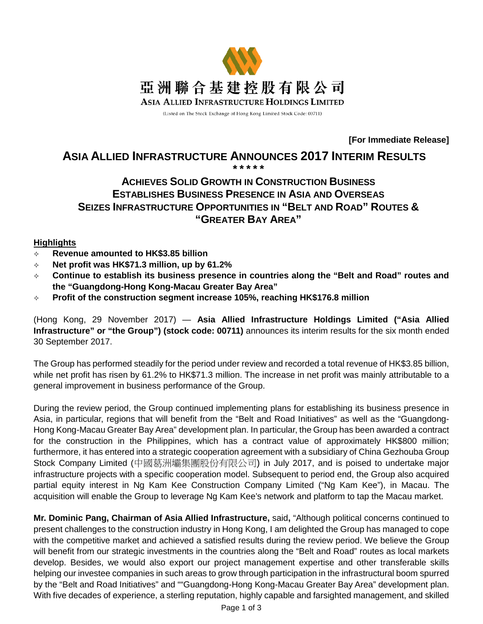

(Listed on The Stock Exchange of Hong Kong Limited Stock Code: 00711)

**[For Immediate Release]**

#### **ASIA ALLIED INFRASTRUCTURE ANNOUNCES 2017 INTERIM RESULTS \* \* \* \* \***

# **ACHIEVES SOLID GROWTH IN CONSTRUCTION BUSINESS ESTABLISHES BUSINESS PRESENCE IN ASIA AND OVERSEAS SEIZES INFRASTRUCTURE OPPORTUNITIES IN "BELT AND ROAD" ROUTES & "GREATER BAY AREA"**

## **Highlights**

- **Revenue amounted to HK\$3.85 billion**
- **Net profit was HK\$71.3 million, up by 61.2%**
- **Continue to establish its business presence in countries along the "Belt and Road" routes and the "Guangdong-Hong Kong-Macau Greater Bay Area"**
- **Profit of the construction segment increase 105%, reaching HK\$176.8 million**

(Hong Kong, 29 November 2017) — **Asia Allied Infrastructure Holdings Limited ("Asia Allied Infrastructure" or "the Group") (stock code: 00711)** announces its interim results for the six month ended 30 September 2017.

The Group has performed steadily for the period under review and recorded a total revenue of HK\$3.85 billion, while net profit has risen by 61.2% to HK\$71.3 million. The increase in net profit was mainly attributable to a general improvement in business performance of the Group.

During the review period, the Group continued implementing plans for establishing its business presence in Asia, in particular, regions that will benefit from the "Belt and Road Initiatives" as well as the "Guangdong-Hong Kong-Macau Greater Bay Area" development plan. In particular, the Group has been awarded a contract for the construction in the Philippines, which has a contract value of approximately HK\$800 million; furthermore, it has entered into a strategic cooperation agreement with a subsidiary of China Gezhouba Group Stock Company Limited (中國葛洲壩集團股份有限公司) in July 2017, and is poised to undertake major infrastructure projects with a specific cooperation model. Subsequent to period end, the Group also acquired partial equity interest in Ng Kam Kee Construction Company Limited ("Ng Kam Kee"), in Macau. The acquisition will enable the Group to leverage Ng Kam Kee's network and platform to tap the Macau market.

**Mr. Dominic Pang, Chairman of Asia Allied Infrastructure,** said**,** "Although political concerns continued to present challenges to the construction industry in Hong Kong, I am delighted the Group has managed to cope with the competitive market and achieved a satisfied results during the review period. We believe the Group will benefit from our strategic investments in the countries along the "Belt and Road" routes as local markets develop. Besides, we would also export our project management expertise and other transferable skills helping our investee companies in such areas to grow through participation in the infrastructural boom spurred by the "Belt and Road Initiatives" and ""Guangdong-Hong Kong-Macau Greater Bay Area" development plan. With five decades of experience, a sterling reputation, highly capable and farsighted management, and skilled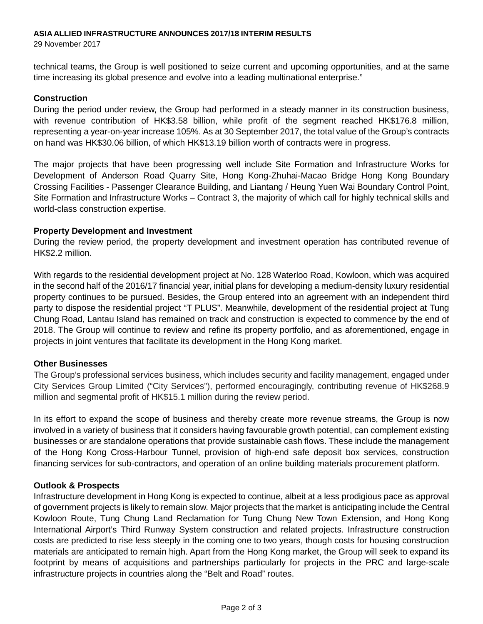#### **ASIA ALLIED INFRASTRUCTURE ANNOUNCES 2017/18 INTERIM RESULTS**

29 November 2017

technical teams, the Group is well positioned to seize current and upcoming opportunities, and at the same time increasing its global presence and evolve into a leading multinational enterprise."

## **Construction**

During the period under review, the Group had performed in a steady manner in its construction business, with revenue contribution of HK\$3.58 billion, while profit of the segment reached HK\$176.8 million, representing a year-on-year increase 105%. As at 30 September 2017, the total value of the Group's contracts on hand was HK\$30.06 billion, of which HK\$13.19 billion worth of contracts were in progress.

The major projects that have been progressing well include Site Formation and Infrastructure Works for Development of Anderson Road Quarry Site, Hong Kong-Zhuhai-Macao Bridge Hong Kong Boundary Crossing Facilities - Passenger Clearance Building, and Liantang / Heung Yuen Wai Boundary Control Point, Site Formation and Infrastructure Works – Contract 3, the majority of which call for highly technical skills and world-class construction expertise.

## **Property Development and Investment**

During the review period, the property development and investment operation has contributed revenue of HK\$2.2 million.

With regards to the residential development project at No. 128 Waterloo Road, Kowloon, which was acquired in the second half of the 2016/17 financial year, initial plans for developing a medium-density luxury residential property continues to be pursued. Besides, the Group entered into an agreement with an independent third party to dispose the residential project "T PLUS". Meanwhile, development of the residential project at Tung Chung Road, Lantau Island has remained on track and construction is expected to commence by the end of 2018. The Group will continue to review and refine its property portfolio, and as aforementioned, engage in projects in joint ventures that facilitate its development in the Hong Kong market.

## **Other Businesses**

The Group's professional services business, which includes security and facility management, engaged under City Services Group Limited ("City Services"), performed encouragingly, contributing revenue of HK\$268.9 million and segmental profit of HK\$15.1 million during the review period.

In its effort to expand the scope of business and thereby create more revenue streams, the Group is now involved in a variety of business that it considers having favourable growth potential, can complement existing businesses or are standalone operations that provide sustainable cash flows. These include the management of the Hong Kong Cross-Harbour Tunnel, provision of high-end safe deposit box services, construction financing services for sub-contractors, and operation of an online building materials procurement platform.

## **Outlook & Prospects**

Infrastructure development in Hong Kong is expected to continue, albeit at a less prodigious pace as approval of government projects is likely to remain slow. Major projects that the market is anticipating include the Central Kowloon Route, Tung Chung Land Reclamation for Tung Chung New Town Extension, and Hong Kong International Airport's Third Runway System construction and related projects. Infrastructure construction costs are predicted to rise less steeply in the coming one to two years, though costs for housing construction materials are anticipated to remain high. Apart from the Hong Kong market, the Group will seek to expand its footprint by means of acquisitions and partnerships particularly for projects in the PRC and large-scale infrastructure projects in countries along the "Belt and Road" routes.